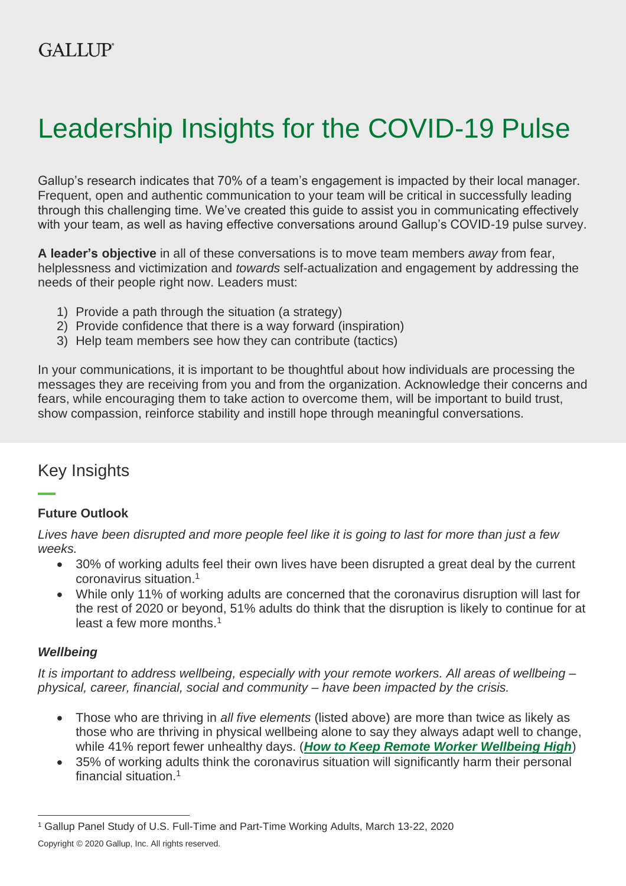# Leadership Insights for the COVID-19 Pulse

Gallup's research indicates that 70% of a team's engagement is impacted by their local manager. Frequent, open and authentic communication to your team will be critical in successfully leading through this challenging time. We've created this guide to assist you in communicating effectively with your team, as well as having effective conversations around Gallup's COVID-19 pulse survey.

**A leader's objective** in all of these conversations is to move team members *away* from fear, helplessness and victimization and *towards* self-actualization and engagement by addressing the needs of their people right now. Leaders must:

- 1) Provide a path through the situation (a strategy)
- 2) Provide confidence that there is a way forward (inspiration)
- 3) Help team members see how they can contribute (tactics)

In your communications, it is important to be thoughtful about how individuals are processing the messages they are receiving from you and from the organization. Acknowledge their concerns and fears, while encouraging them to take action to overcome them, will be important to build trust, show compassion, reinforce stability and instill hope through meaningful conversations.

## Key Insights

## **Future Outlook**

*Lives have been disrupted and more people feel like it is going to last for more than just a few weeks.*

- 30% of working adults feel their own lives have been disrupted a great deal by the current coronavirus situation. 1
- While only 11% of working adults are concerned that the coronavirus disruption will last for the rest of 2020 or beyond, 51% adults do think that the disruption is likely to continue for at least a few more months. 1

## *Wellbeing*

*It is important to address wellbeing, especially with your remote workers. All areas of wellbeing – physical, career, financial, social and community – have been impacted by the crisis.*

- Those who are thriving in *all five elements* (listed above) are more than twice as likely as those who are thriving in physical wellbeing alone to say they always adapt well to change, while 41% report fewer unhealthy days. (*[How to Keep Remote Worker Wellbeing High](https://www.gallup.com/workplace/288722/keep-remote-worker-wellbeing-high.aspx)*)
- 35% of working adults think the coronavirus situation will significantly harm their personal financial situation.<sup>1</sup>

<sup>1</sup> Gallup Panel Study of U.S. Full-Time and Part-Time Working Adults, March 13-22, 2020

Copyright © 2020 Gallup, Inc. All rights reserved.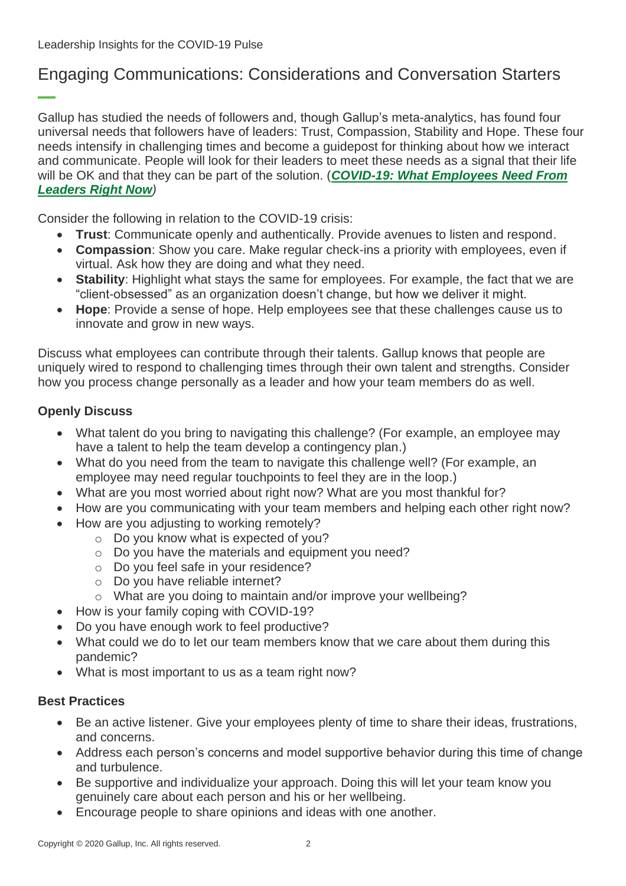## Engaging Communications: Considerations and Conversation Starters

Gallup has studied the needs of followers and, though Gallup's meta-analytics, has found four universal needs that followers have of leaders: Trust, Compassion, Stability and Hope. These four needs intensify in challenging times and become a guidepost for thinking about how we interact and communicate. People will look for their leaders to meet these needs as a signal that their life will be OK and that they can be part of the solution. (*[COVID-19: What Employees Need From](https://www.gallup.com/workplace/297497/covid-employees-need-leaders-right.aspx)  [Leaders Right Now](https://www.gallup.com/workplace/297497/covid-employees-need-leaders-right.aspx))*

Consider the following in relation to the COVID-19 crisis:

- **Trust**: Communicate openly and authentically. Provide avenues to listen and respond.
- **Compassion**: Show you care. Make regular check-ins a priority with employees, even if virtual. Ask how they are doing and what they need.
- **Stability**: Highlight what stays the same for employees. For example, the fact that we are "client-obsessed" as an organization doesn't change, but how we deliver it might.
- **Hope**: Provide a sense of hope. Help employees see that these challenges cause us to innovate and grow in new ways.

Discuss what employees can contribute through their talents. Gallup knows that people are uniquely wired to respond to challenging times through their own talent and strengths. Consider how you process change personally as a leader and how your team members do as well.

## **Openly Discuss**

- What talent do you bring to navigating this challenge? (For example, an employee may have a talent to help the team develop a contingency plan.)
- What do you need from the team to navigate this challenge well? (For example, an employee may need regular touchpoints to feel they are in the loop.)
- What are you most worried about right now? What are you most thankful for?
- How are you communicating with your team members and helping each other right now?
- How are you adjusting to working remotely?
	- o Do you know what is expected of you?
	- o Do you have the materials and equipment you need?
	- o Do you feel safe in your residence?
	- o Do you have reliable internet?
	- o What are you doing to maintain and/or improve your wellbeing?
- How is your family coping with COVID-19?
- Do you have enough work to feel productive?
- What could we do to let our team members know that we care about them during this pandemic?
- What is most important to us as a team right now?

## **Best Practices**

- Be an active listener. Give your employees plenty of time to share their ideas, frustrations, and concerns.
- Address each person's concerns and model supportive behavior during this time of change and turbulence.
- Be supportive and individualize your approach. Doing this will let your team know you genuinely care about each person and his or her wellbeing.
- Encourage people to share opinions and ideas with one another.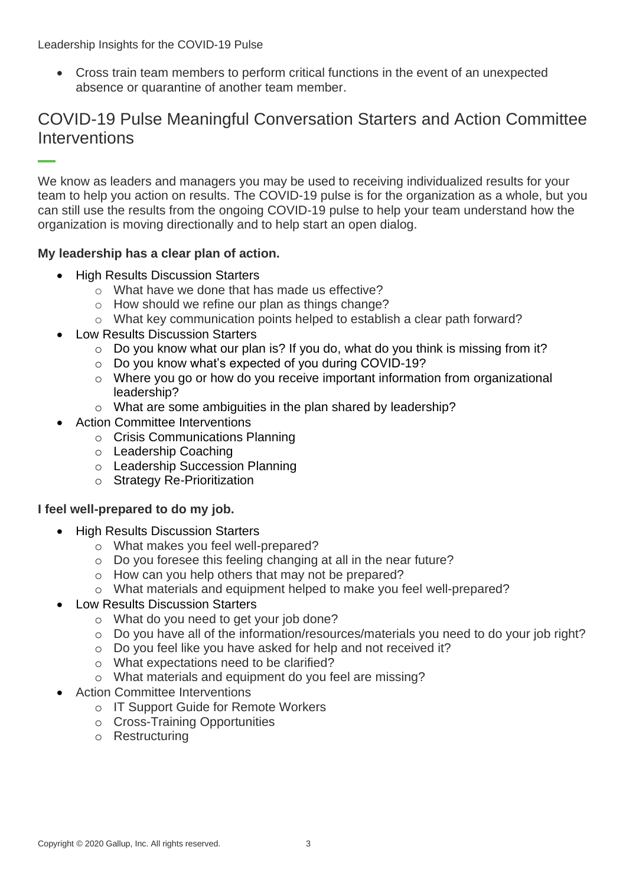Leadership Insights for the COVID-19 Pulse

• Cross train team members to perform critical functions in the event of an unexpected absence or quarantine of another team member.

## COVID-19 Pulse Meaningful Conversation Starters and Action Committee **Interventions**

We know as leaders and managers you may be used to receiving individualized results for your team to help you action on results. The COVID-19 pulse is for the organization as a whole, but you can still use the results from the ongoing COVID-19 pulse to help your team understand how the organization is moving directionally and to help start an open dialog.

### **My leadership has a clear plan of action.**

- High Results Discussion Starters
	- o What have we done that has made us effective?
	- o How should we refine our plan as things change?
	- o What key communication points helped to establish a clear path forward?
- Low Results Discussion Starters
	- o Do you know what our plan is? If you do, what do you think is missing from it?
	- o Do you know what's expected of you during COVID-19?
	- o Where you go or how do you receive important information from organizational leadership?
	- o What are some ambiguities in the plan shared by leadership?
- Action Committee Interventions
	- o Crisis Communications Planning
	- o Leadership Coaching
	- o Leadership Succession Planning
	- o Strategy Re-Prioritization

#### **I feel well-prepared to do my job.**

- High Results Discussion Starters
	- o What makes you feel well-prepared?
	- o Do you foresee this feeling changing at all in the near future?
	- o How can you help others that may not be prepared?
	- o What materials and equipment helped to make you feel well-prepared?

#### • Low Results Discussion Starters

- o What do you need to get your job done?
- o Do you have all of the information/resources/materials you need to do your job right?
- o Do you feel like you have asked for help and not received it?
- o What expectations need to be clarified?
- o What materials and equipment do you feel are missing?
- **Action Committee Interventions** 
	- o IT Support Guide for Remote Workers
	- o Cross-Training Opportunities
	- o Restructuring